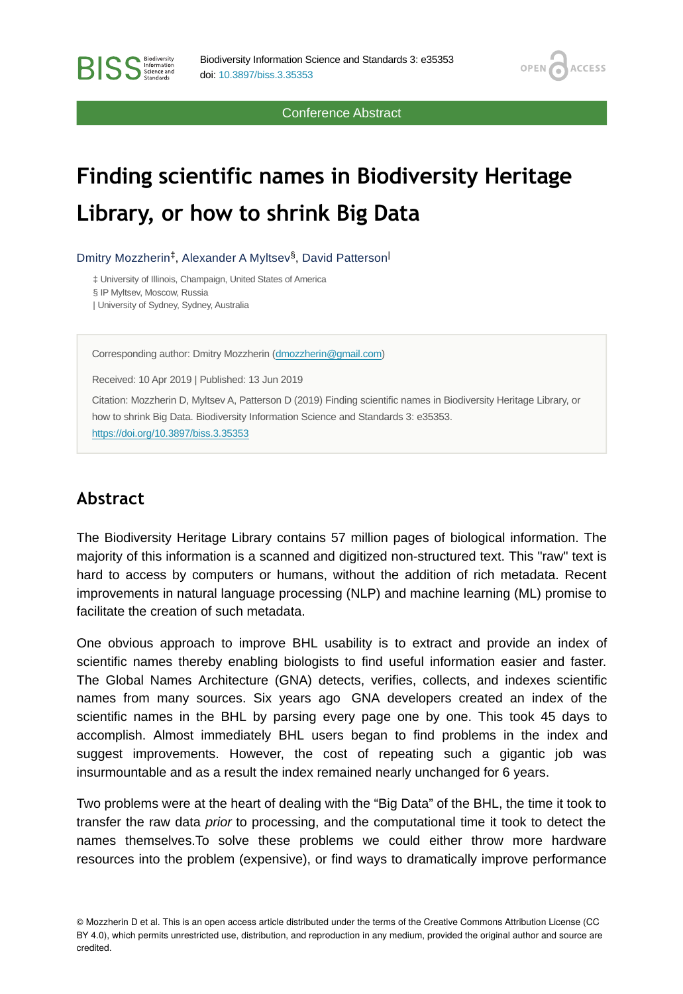Conference Abstract

OPEN<sub>C</sub>

**ACCESS** 

# **Finding scientific names in Biodiversity Heritage Library, or how to shrink Big Data**

Dmitry Mozzherin<sup>‡</sup>, Alexander A Myltsev<sup>§</sup>, David Patterson<sup>|</sup>

‡ University of Illinois, Champaign, United States of America § IP Myltsev, Moscow, Russia

| University of Sydney, Sydney, Australia

**BISS** Steince and

Corresponding author: Dmitry Mozzherin ([dmozzherin@gmail.com](mailto:dmozzherin@gmail.com))

Received: 10 Apr 2019 | Published: 13 Jun 2019

Citation: Mozzherin D, Myltsev A, Patterson D (2019) Finding scientific names in Biodiversity Heritage Library, or how to shrink Big Data. Biodiversity Information Science and Standards 3: e35353. <https://doi.org/10.3897/biss.3.35353>

#### **Abstract**

The Biodiversity Heritage Library contains 57 million pages of biological information. The majority of this information is a scanned and digitized non-structured text. This "raw" text is hard to access by computers or humans, without the addition of rich metadata. Recent improvements in natural language processing (NLP) and machine learning (ML) promise to facilitate the creation of such metadata.

One obvious approach to improve BHL usability is to extract and provide an index of scientific names thereby enabling biologists to find useful information easier and faster. The Global Names Architecture (GNA) detects, verifies, collects, and indexes scientific names from many sources. Six years ago GNA developers created an index of the scientific names in the BHL by parsing every page one by one. This took 45 days to accomplish. Almost immediately BHL users began to find problems in the index and suggest improvements. However, the cost of repeating such a gigantic job was insurmountable and as a result the index remained nearly unchanged for 6 years.

Two problems were at the heart of dealing with the "Big Data" of the BHL, the time it took to transfer the raw data *prior* to processing, and the computational time it took to detect the names themselves.To solve these problems we could either throw more hardware resources into the problem (expensive), or find ways to dramatically improve performance

<sup>©</sup> Mozzherin D et al. This is an open access article distributed under the terms of the Creative Commons Attribution License (CC BY 4.0), which permits unrestricted use, distribution, and reproduction in any medium, provided the original author and source are credited.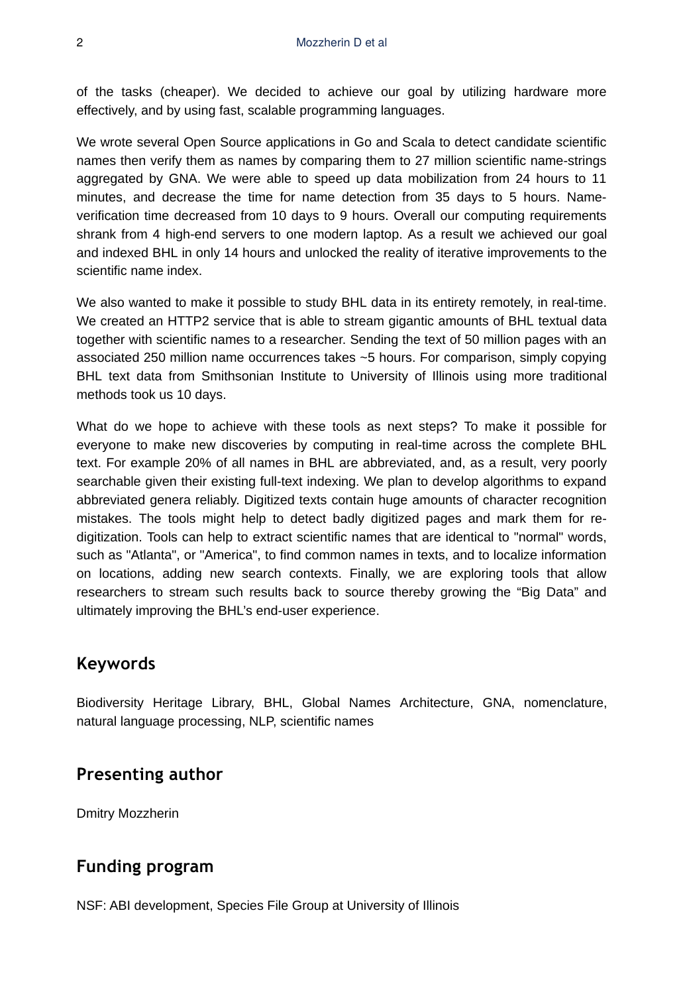of the tasks (cheaper). We decided to achieve our goal by utilizing hardware more effectively, and by using fast, scalable programming languages.

We wrote several Open Source applications in Go and Scala to detect candidate scientific names then verify them as names by comparing them to 27 million scientific name-strings aggregated by GNA. We were able to speed up data mobilization from 24 hours to 11 minutes, and decrease the time for name detection from 35 days to 5 hours. Nameverification time decreased from 10 days to 9 hours. Overall our computing requirements shrank from 4 high-end servers to one modern laptop. As a result we achieved our goal and indexed BHL in only 14 hours and unlocked the reality of iterative improvements to the scientific name index.

We also wanted to make it possible to study BHL data in its entirety remotely, in real-time. We created an HTTP2 service that is able to stream gigantic amounts of BHL textual data together with scientific names to a researcher. Sending the text of 50 million pages with an associated 250 million name occurrences takes ~5 hours. For comparison, simply copying BHL text data from Smithsonian Institute to University of Illinois using more traditional methods took us 10 days.

What do we hope to achieve with these tools as next steps? To make it possible for everyone to make new discoveries by computing in real-time across the complete BHL text. For example 20% of all names in BHL are abbreviated, and, as a result, very poorly searchable given their existing full-text indexing. We plan to develop algorithms to expand abbreviated genera reliably. Digitized texts contain huge amounts of character recognition mistakes. The tools might help to detect badly digitized pages and mark them for redigitization. Tools can help to extract scientific names that are identical to "normal" words, such as "Atlanta", or "America", to find common names in texts, and to localize information on locations, adding new search contexts. Finally, we are exploring tools that allow researchers to stream such results back to source thereby growing the "Big Data" and ultimately improving the BHL's end-user experience.

## **Keywords**

Biodiversity Heritage Library, BHL, Global Names Architecture, GNA, nomenclature, natural language processing, NLP, scientific names

#### **Presenting author**

Dmitry Mozzherin

# **Funding program**

NSF: ABI development, Species File Group at University of Illinois